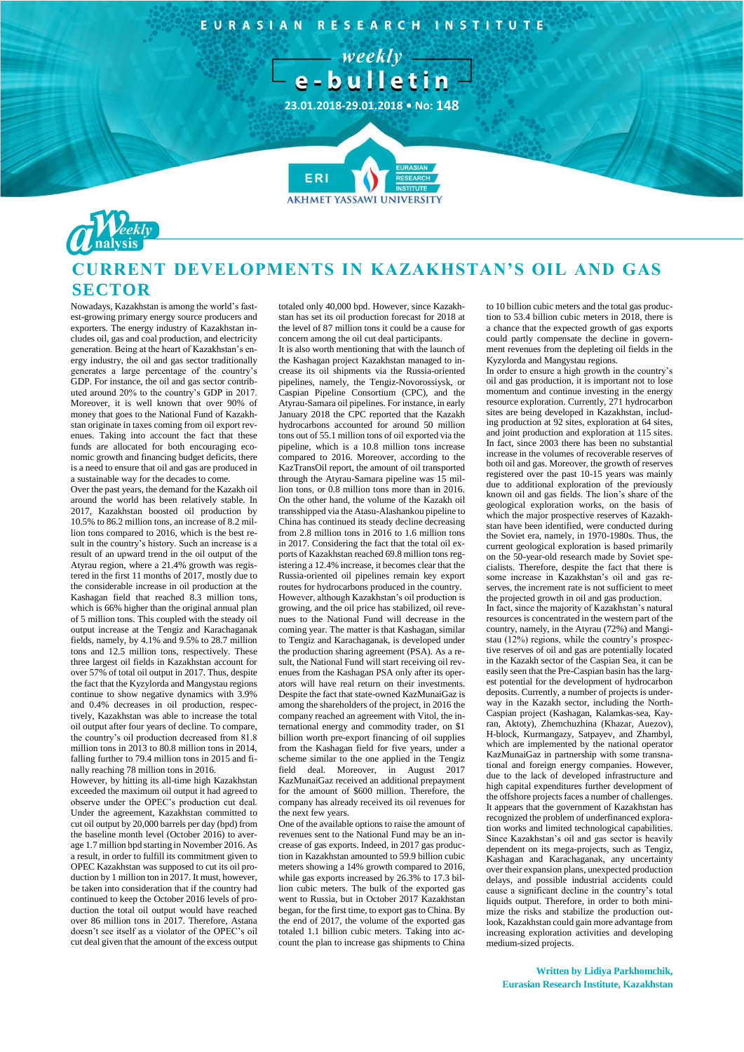EURASIAN RESEARCH INSTITUTE

 $-$  weekly  $$ e-bulletin

**23.01.2018-29.01.2018 • No: 148**

**7**

ERI



## **CURRENT DEVELOPMENTS IN KAZAKHSTAN'S OIL AND GAS SECTOR**

**AKHMET YASSAWI UNIVERSIT** 

Nowadays, Kazakhstan is among the world's fastest-growing primary energy source producers and exporters. The energy industry of Kazakhstan includes oil, gas and coal production, and electricity generation. Being at the heart of Kazakhstan's energy industry, the oil and gas sector traditionally generates a large percentage of the country's GDP. For instance, the oil and gas sector contributed around 20% to the country's GDP in 2017. Moreover, it is well known that over 90% of money that goes to the National Fund of Kazakhstan originate in taxes coming from oil export revenues. Taking into account the fact that these funds are allocated for both encouraging economic growth and financing budget deficits, there is a need to ensure that oil and gas are produced in a sustainable way for the decades to come.

Over the past years, the demand for the Kazakh oil around the world has been relatively stable. In 2017, Kazakhstan boosted oil production by 10.5% to 86.2 million tons, an increase of 8.2 million tons compared to 2016, which is the best result in the country's history. Such an increase is a result of an upward trend in the oil output of the Atyrau region, where a 21.4% growth was registered in the first 11 months of 2017, mostly due to the considerable increase in oil production at the Kashagan field that reached 8.3 million tons, which is 66% higher than the original annual plan of 5 million tons. This coupled with the steady oil output increase at the Tengiz and Karachaganak fields, namely, by 4.1% and 9.5% to 28.7 million tons and 12.5 million tons, respectively. These three largest oil fields in Kazakhstan account for over 57% of total oil output in 2017. Thus, despite the fact that the Kyzylorda and Mangystau regions continue to show negative dynamics with 3.9% and 0.4% decreases in oil production, respectively, Kazakhstan was able to increase the total oil output after four years of decline. To compare, the country's oil production decreased from 81.8 million tons in 2013 to 80.8 million tons in 2014, falling further to 79.4 million tons in 2015 and finally reaching 78 million tons in 2016.

However, by hitting its all-time high Kazakhstan exceeded the maximum oil output it had agreed to observe under the OPEC's production cut deal. Under the agreement, Kazakhstan committed to cut oil output by 20,000 barrels per day (bpd) from the baseline month level (October 2016) to average 1.7 million bpd starting in November 2016. As a result, in order to fulfill its commitment given to OPEC Kazakhstan was supposed to cut its oil production by 1 million ton in 2017. It must, however, be taken into consideration that if the country had continued to keep the October 2016 levels of production the total oil output would have reached over 86 million tons in 2017. Therefore, Astana doesn't see itself as a violator of the OPEC's oil cut deal given that the amount of the excess output totaled only 40,000 bpd. However, since Kazakhstan has set its oil production forecast for 2018 at the level of 87 million tons it could be a cause for concern among the oil cut deal participants.

It is also worth mentioning that with the launch of the Kashagan project Kazakhstan managed to increase its oil shipments via the Russia-oriented pipelines, namely, the Tengiz-Novorossiysk, or Caspian Pipeline Consortium (CPC), and the Atyrau-Samara oil pipelines. For instance, in early January 2018 the CPC reported that the Kazakh hydrocarbons accounted for around 50 million tons out of 55.1 million tons of oil exported via the pipeline, which is a 10.8 million tons increase compared to 2016. Moreover, according to the KazTransOil report, the amount of oil transported through the Atyrau-Samara pipeline was 15 million tons, or 0.8 million tons more than in 2016. On the other hand, the volume of the Kazakh oil transshipped via the Atasu-Alashankou pipeline to China has continued its steady decline decreasing from 2.8 million tons in 2016 to 1.6 million tons in 2017. Considering the fact that the total oil exports of Kazakhstan reached 69.8 million tons registering a 12.4% increase, it becomes clear that the Russia-oriented oil pipelines remain key export routes for hydrocarbons produced in the country. However, although Kazakhstan's oil production is growing, and the oil price has stabilized, oil revenues to the National Fund will decrease in the coming year. The matter is that Kashagan, similar to Tengiz and Karachaganak, is developed under the production sharing agreement (PSA). As a result, the National Fund will start receiving oil revenues from the Kashagan PSA only after its operators will have real return on their investments. Despite the fact that state-owned KazMunaiGaz is among the shareholders of the project, in 2016 the company reached an agreement with Vitol, the international energy and commodity trader, on \$1 billion worth pre-export financing of oil supplies from the Kashagan field for five years, under a scheme similar to the one applied in the Tengiz field deal. Moreover, in August 2017 KazMunaiGaz received an additional prepayment for the amount of \$600 million. Therefore, the company has already received its oil revenues for the next few years.

One of the available options to raise the amount of revenues sent to the National Fund may be an increase of gas exports. Indeed, in 2017 gas production in Kazakhstan amounted to 59.9 billion cubic meters showing a 14% growth compared to 2016, while gas exports increased by 26.3% to 17.3 billion cubic meters. The bulk of the exported gas went to Russia, but in October 2017 Kazakhstan began, for the first time, to export gas to China. By the end of 2017, the volume of the exported gas totaled 1.1 billion cubic meters. Taking into account the plan to increase gas shipments to China to 10 billion cubic meters and the total gas production to 53.4 billion cubic meters in 2018, there is a chance that the expected growth of gas exports could partly compensate the decline in government revenues from the depleting oil fields in the Kyzylorda and Mangystau regions.

In order to ensure a high growth in the country's oil and gas production, it is important not to lose momentum and continue investing in the energy resource exploration. Currently, 271 hydrocarbon sites are being developed in Kazakhstan, including production at 92 sites, exploration at 64 sites, and joint production and exploration at 115 sites. In fact, since 2003 there has been no substantial increase in the volumes of recoverable reserves of both oil and gas. Moreover, the growth of reserves registered over the past 10-15 years was mainly due to additional exploration of the previously known oil and gas fields. The lion's share of the geological exploration works, on the basis of which the major prospective reserves of Kazakhstan have been identified, were conducted during the Soviet era, namely, in 1970-1980s. Thus, the current geological exploration is based primarily on the 50-year-old research made by Soviet specialists. Therefore, despite the fact that there is some increase in Kazakhstan's oil and gas reserves, the increment rate is not sufficient to meet the projected growth in oil and gas production. In fact, since the majority of Kazakhstan's natural resources is concentrated in the western part of the country, namely, in the Atyrau (72%) and Mangistau (12%) regions, while the country's prospective reserves of oil and gas are potentially located in the Kazakh sector of the Caspian Sea, it can be easily seen that the Pre-Caspian basin has the largest potential for the development of hydrocarbon deposits. Currently, a number of projects is underway in the Kazakh sector, including the North-Caspian project (Kashagan, Kalamkas-sea, Kayran, Aktoty), Zhemchuzhina (Khazar, Auezov), H-block, Kurmangazy, Satpayev, and Zhambyl, which are implemented by the national operator KazMunaiGaz in partnership with some transnational and foreign energy companies. However, due to the lack of developed infrastructure and high capital expenditures further development of the offshore projects faces a number of challenges. It appears that the government of Kazakhstan has recognized the problem of underfinanced exploration works and limited technological capabilities. Since Kazakhstan's oil and gas sector is heavily dependent on its mega-projects, such as Tengiz, Kashagan and Karachaganak, any uncertainty over their expansion plans, unexpected production delays, and possible industrial accidents could cause a significant decline in the country's total liquids output. Therefore, in order to both minimize the risks and stabilize the production outlook, Kazakhstan could gain more advantage from increasing exploration activities and developing medium-sized projects.

**Written by Lidiya Parkhomchik, Eurasian Research Institute, Kazakhstan**